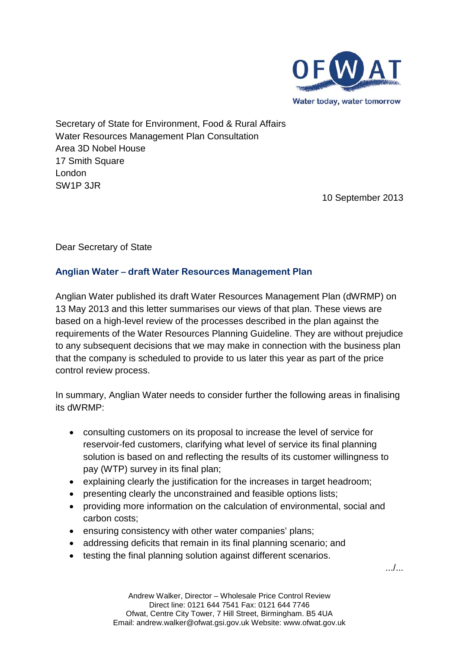

Secretary of State for Environment, Food & Rural Affairs Water Resources Management Plan Consultation Area 3D Nobel House 17 Smith Square London SW1P 3JR

10 September 2013

Dear Secretary of State

#### **Anglian Water – draft Water Resources Management Plan**

Anglian Water published its draft Water Resources Management Plan (dWRMP) on 13 May 2013 and this letter summarises our views of that plan. These views are based on a high-level review of the processes described in the plan against the requirements of the Water Resources Planning Guideline. They are without prejudice to any subsequent decisions that we may make in connection with the business plan that the company is scheduled to provide to us later this year as part of the price control review process.

In summary, Anglian Water needs to consider further the following areas in finalising its dWRMP:

- consulting customers on its proposal to increase the level of service for reservoir-fed customers, clarifying what level of service its final planning solution is based on and reflecting the results of its customer willingness to pay (WTP) survey in its final plan;
- explaining clearly the justification for the increases in target headroom;
- presenting clearly the unconstrained and feasible options lists;
- providing more information on the calculation of environmental, social and carbon costs;
- ensuring consistency with other water companies' plans;
- addressing deficits that remain in its final planning scenario; and
- testing the final planning solution against different scenarios.

.../...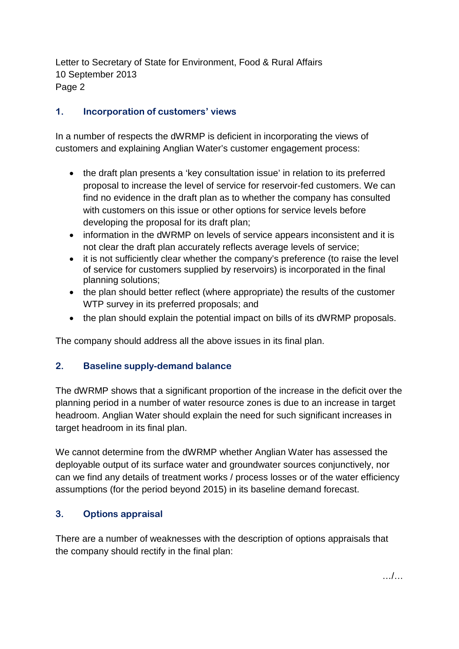Letter to Secretary of State for Environment, Food & Rural Affairs 10 September 2013 Page 2

## **1. Incorporation of customers' views**

In a number of respects the dWRMP is deficient in incorporating the views of customers and explaining Anglian Water's customer engagement process:

- the draft plan presents a 'key consultation issue' in relation to its preferred proposal to increase the level of service for reservoir-fed customers. We can find no evidence in the draft plan as to whether the company has consulted with customers on this issue or other options for service levels before developing the proposal for its draft plan;
- information in the dWRMP on levels of service appears inconsistent and it is not clear the draft plan accurately reflects average levels of service;
- it is not sufficiently clear whether the company's preference (to raise the level of service for customers supplied by reservoirs) is incorporated in the final planning solutions;
- the plan should better reflect (where appropriate) the results of the customer WTP survey in its preferred proposals; and
- the plan should explain the potential impact on bills of its dWRMP proposals.

The company should address all the above issues in its final plan.

### **2. Baseline supply-demand balance**

The dWRMP shows that a significant proportion of the increase in the deficit over the planning period in a number of water resource zones is due to an increase in target headroom. Anglian Water should explain the need for such significant increases in target headroom in its final plan.

We cannot determine from the dWRMP whether Anglian Water has assessed the deployable output of its surface water and groundwater sources conjunctively, nor can we find any details of treatment works / process losses or of the water efficiency assumptions (for the period beyond 2015) in its baseline demand forecast.

## **3. Options appraisal**

There are a number of weaknesses with the description of options appraisals that the company should rectify in the final plan: